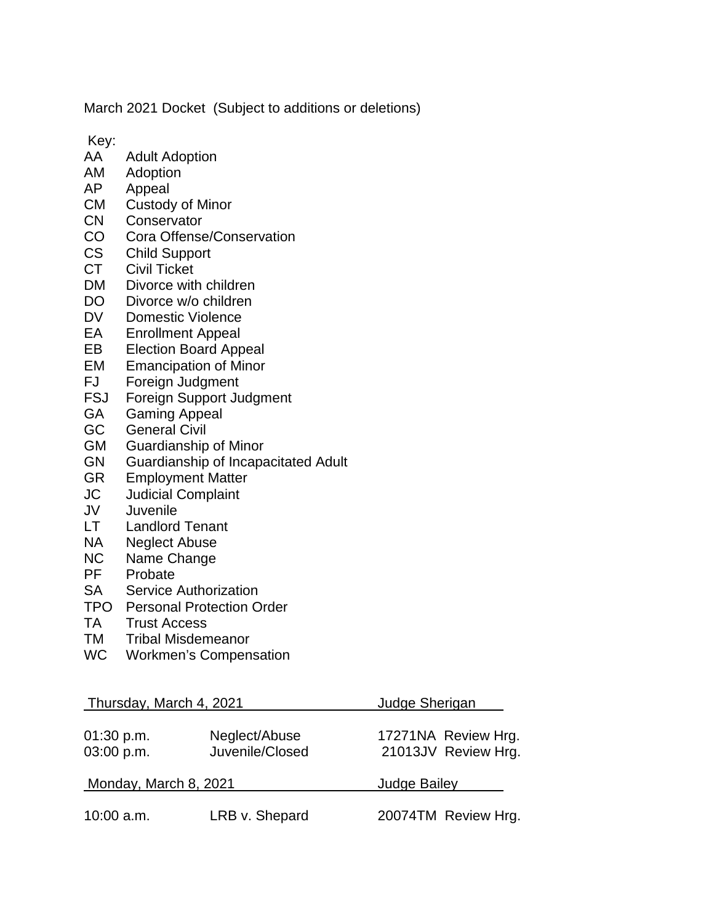March 2021 Docket (Subject to additions or deletions)

Key:

- AA Adult Adoption
- AM Adoption
- AP Appeal
- CM Custody of Minor
- CN Conservator
- CO Cora Offense/Conservation<br>CS Child Support
- Child Support
- CT Civil Ticket
- DM Divorce with children
- DO Divorce w/o children<br>DV Domestic Violence
- Domestic Violence
- EA Enrollment Appeal
- EB Election Board Appeal<br>EM Emancipation of Minor
- EM Emancipation of Minor<br>FJ Foreign Judgment
- FJ Foreign Judgment<br>FSJ Foreign Support Ju
- Foreign Support Judgment
- GA Gaming Appeal
- GC General Civil
- GM Guardianship of Minor<br>GN Guardianship of Incapa
- Guardianship of Incapacitated Adult
- GR Employment Matter
- JC Judicial Complaint
- JV Juvenile
- Landlord Tenant
- NA Neglect Abuse<br>NC Name Change
- NC Name Change<br>PF Probate
- PF Probate<br>SA Service
- Service Authorization
- TPO Personal Protection Order
- TA Trust Access
- TM Tribal Misdemeanor<br>WC Workmen's Compens
- Workmen's Compensation

| Thursday, March 4, 2021  |                                  | Judge Sherigan                             |
|--------------------------|----------------------------------|--------------------------------------------|
| 01:30 p.m.<br>03:00 p.m. | Neglect/Abuse<br>Juvenile/Closed | 17271NA Review Hrg.<br>21013JV Review Hrg. |
| Monday, March 8, 2021    |                                  | <b>Judge Bailey</b>                        |
| $10:00$ a.m.             | LRB v. Shepard                   | 20074TM Review Hrg.                        |